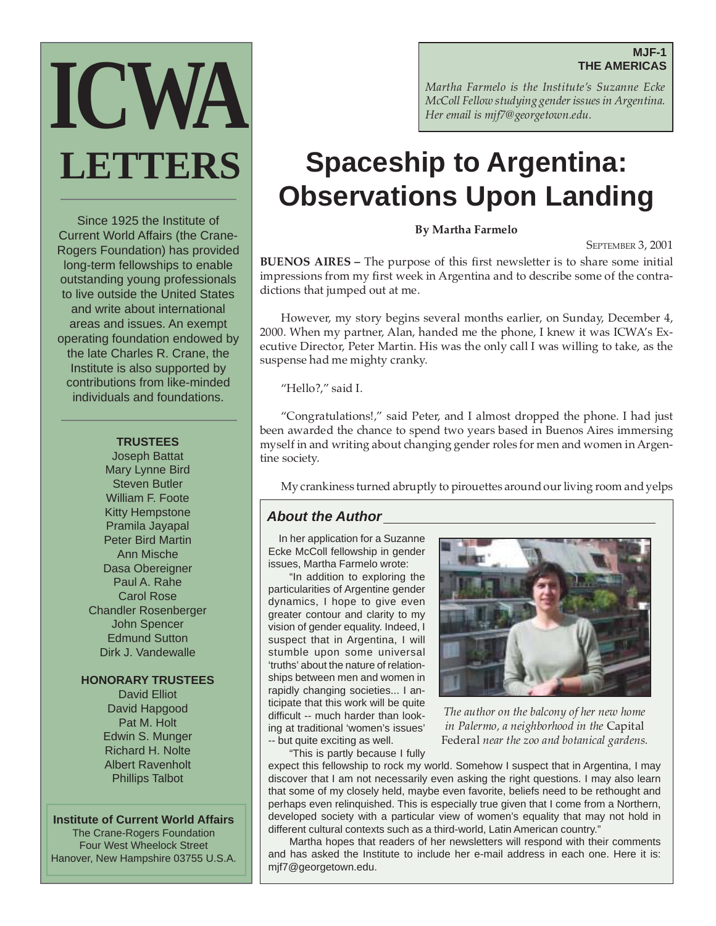# **MJF-1 THE AMERICAS**



Since 1925 the Institute of Current World Affairs (the Crane-Rogers Foundation) has provided long-term fellowships to enable outstanding young professionals to live outside the United States and write about international areas and issues. An exempt operating foundation endowed by the late Charles R. Crane, the Institute is also supported by contributions from like-minded individuals and foundations.

#### **TRUSTEES**

Joseph Battat Mary Lynne Bird Steven Butler William F. Foote Kitty Hempstone Pramila Jayapal Peter Bird Martin Ann Mische Dasa Obereigner Paul A. Rahe Carol Rose Chandler Rosenberger John Spencer Edmund Sutton Dirk J. Vandewalle

# **HONORARY TRUSTEES**

David Elliot David Hapgood Pat M. Holt Edwin S. Munger Richard H. Nolte Albert Ravenholt Phillips Talbot

#### **Institute of Current World Affairs**

The Crane-Rogers Foundation Four West Wheelock Street Hanover, New Hampshire 03755 U.S.A. *Martha Farmelo is the Institute's Suzanne Ecke McColl Fellow studying gender issues in Argentina. Her email is mjf7@georgetown.edu.*

# **Spaceship to Argentina: Observations Upon Landing**

**By Martha Farmelo**

SEPTEMBER 3, 2001

**BUENOS AIRES –** The purpose of this first newsletter is to share some initial impressions from my first week in Argentina and to describe some of the contradictions that jumped out at me.

However, my story begins several months earlier, on Sunday, December 4, 2000. When my partner, Alan, handed me the phone, I knew it was ICWA's Executive Director, Peter Martin. His was the only call I was willing to take, as the suspense had me mighty cranky.

"Hello?," said I.

"Congratulations!," said Peter, and I almost dropped the phone. I had just been awarded the chance to spend two years based in Buenos Aires immersing myself in and writing about changing gender roles for men and women in Argentine society.

My crankiness turned abruptly to pirouettes around our living room and yelps

# **About the Author**

In her application for a Suzanne Ecke McColl fellowship in gender issues, Martha Farmelo wrote:

"In addition to exploring the particularities of Argentine gender dynamics, I hope to give even greater contour and clarity to my vision of gender equality. Indeed, I suspect that in Argentina, I will stumble upon some universal 'truths' about the nature of relationships between men and women in rapidly changing societies... I anticipate that this work will be quite difficult -- much harder than looking at traditional 'women's issues' -- but quite exciting as well.



*The author on the balcony of her new home in Palermo, a neighborhood in the* Capital Federal *near the zoo and botanical gardens.*

"This is partly because I fully

expect this fellowship to rock my world. Somehow I suspect that in Argentina, I may discover that I am not necessarily even asking the right questions. I may also learn that some of my closely held, maybe even favorite, beliefs need to be rethought and perhaps even relinquished. This is especially true given that I come from a Northern, developed society with a particular view of women's equality that may not hold in different cultural contexts such as a third-world, Latin American country."

Martha hopes that readers of her newsletters will respond with their comments and has asked the Institute to include her e-mail address in each one. Here it is: mjf7@georgetown.edu.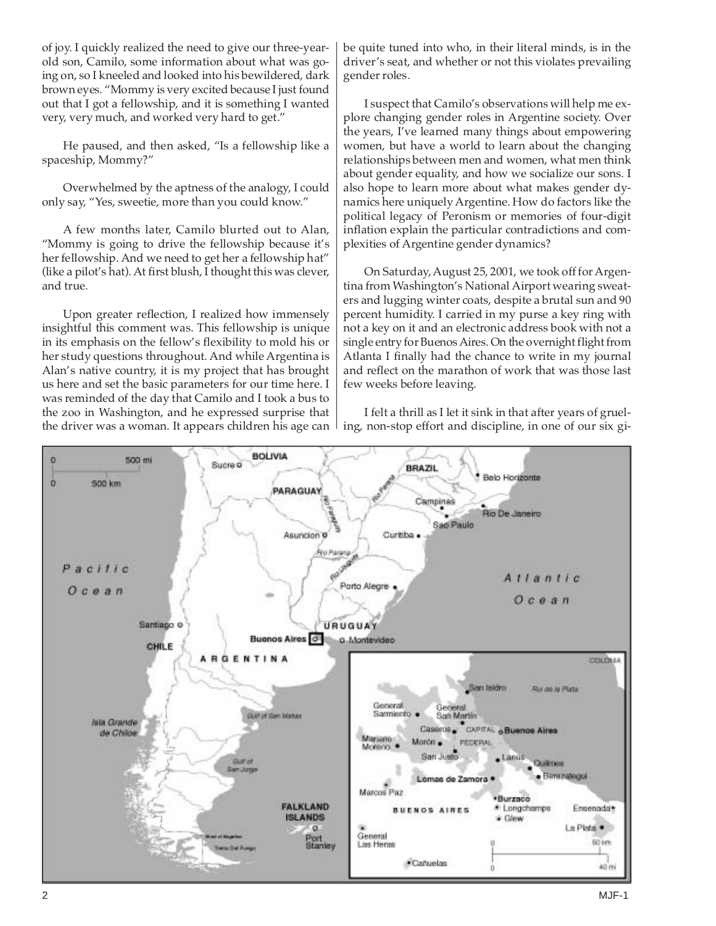of joy. I quickly realized the need to give our three-yearold son, Camilo, some information about what was going on, so I kneeled and looked into his bewildered, dark brown eyes. "Mommy is very excited because I just found out that I got a fellowship, and it is something I wanted very, very much, and worked very hard to get."

He paused, and then asked, "Is a fellowship like a spaceship, Mommy?"

Overwhelmed by the aptness of the analogy, I could only say, "Yes, sweetie, more than you could know."

A few months later, Camilo blurted out to Alan, "Mommy is going to drive the fellowship because it's her fellowship. And we need to get her a fellowship hat" (like a pilot's hat). At first blush, I thought this was clever, and true.

Upon greater reflection, I realized how immensely insightful this comment was. This fellowship is unique in its emphasis on the fellow's flexibility to mold his or her study questions throughout. And while Argentina is Alan's native country, it is my project that has brought us here and set the basic parameters for our time here. I was reminded of the day that Camilo and I took a bus to the zoo in Washington, and he expressed surprise that the driver was a woman. It appears children his age can

be quite tuned into who, in their literal minds, is in the driver's seat, and whether or not this violates prevailing gender roles.

I suspect that Camilo's observations will help me explore changing gender roles in Argentine society. Over the years, I've learned many things about empowering women, but have a world to learn about the changing relationships between men and women, what men think about gender equality, and how we socialize our sons. I also hope to learn more about what makes gender dynamics here uniquely Argentine. How do factors like the political legacy of Peronism or memories of four-digit inflation explain the particular contradictions and complexities of Argentine gender dynamics?

On Saturday, August 25, 2001, we took off for Argentina from Washington's National Airport wearing sweaters and lugging winter coats, despite a brutal sun and 90 percent humidity. I carried in my purse a key ring with not a key on it and an electronic address book with not a single entry for Buenos Aires. On the overnight flight from Atlanta I finally had the chance to write in my journal and reflect on the marathon of work that was those last few weeks before leaving.

I felt a thrill as I let it sink in that after years of grueling, non-stop effort and discipline, in one of our six gi-

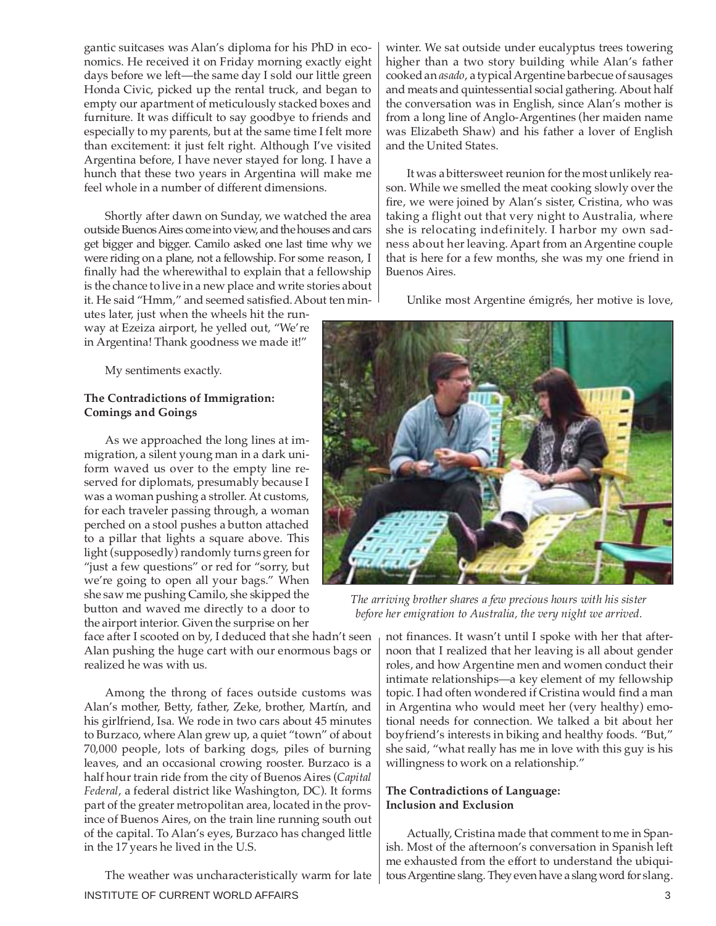gantic suitcases was Alan's diploma for his PhD in economics. He received it on Friday morning exactly eight days before we left—the same day I sold our little green Honda Civic, picked up the rental truck, and began to empty our apartment of meticulously stacked boxes and furniture. It was difficult to say goodbye to friends and especially to my parents, but at the same time I felt more than excitement: it just felt right. Although I've visited Argentina before, I have never stayed for long. I have a hunch that these two years in Argentina will make me feel whole in a number of different dimensions.

Shortly after dawn on Sunday, we watched the area outside Buenos Aires come into view, and the houses and cars get bigger and bigger. Camilo asked one last time why we were riding on a plane, not a fellowship. For some reason, I finally had the wherewithal to explain that a fellowship is the chance to live in a new place and write stories about it. He said "Hmm," and seemed satisfied. About ten min-

utes later, just when the wheels hit the runway at Ezeiza airport, he yelled out, "We're in Argentina! Thank goodness we made it!"

My sentiments exactly.

# **The Contradictions of Immigration: Comings and Goings**

As we approached the long lines at immigration, a silent young man in a dark uniform waved us over to the empty line reserved for diplomats, presumably because I was a woman pushing a stroller. At customs, for each traveler passing through, a woman perched on a stool pushes a button attached to a pillar that lights a square above. This light (supposedly) randomly turns green for "just a few questions" or red for "sorry, but we're going to open all your bags." When she saw me pushing Camilo, she skipped the button and waved me directly to a door to the airport interior. Given the surprise on her

face after I scooted on by, I deduced that she hadn't seen Alan pushing the huge cart with our enormous bags or realized he was with us.

Among the throng of faces outside customs was Alan's mother, Betty, father, Zeke, brother, Martín, and his girlfriend, Isa. We rode in two cars about 45 minutes to Burzaco, where Alan grew up, a quiet "town" of about 70,000 people, lots of barking dogs, piles of burning leaves, and an occasional crowing rooster. Burzaco is a half hour train ride from the city of Buenos Aires (*Capital Federal*, a federal district like Washington, DC). It forms part of the greater metropolitan area, located in the province of Buenos Aires, on the train line running south out of the capital. To Alan's eyes, Burzaco has changed little in the 17 years he lived in the U.S.

INSTITUTE OF CURRENT WORLD AFFAIRS 3 The weather was uncharacteristically warm for late

winter. We sat outside under eucalyptus trees towering higher than a two story building while Alan's father cooked an *asado*, a typical Argentine barbecue of sausages and meats and quintessential social gathering. About half the conversation was in English, since Alan's mother is from a long line of Anglo-Argentines (her maiden name was Elizabeth Shaw) and his father a lover of English and the United States.

It was a bittersweet reunion for the most unlikely reason. While we smelled the meat cooking slowly over the fire, we were joined by Alan's sister, Cristina, who was taking a flight out that very night to Australia, where she is relocating indefinitely. I harbor my own sadness about her leaving. Apart from an Argentine couple that is here for a few months, she was my one friend in Buenos Aires.

Unlike most Argentine émigrés, her motive is love,



*The arriving brother shares a few precious hours with his sister before her emigration to Australia, the very night we arrived.*

not finances. It wasn't until I spoke with her that afternoon that I realized that her leaving is all about gender roles, and how Argentine men and women conduct their intimate relationships—a key element of my fellowship topic. I had often wondered if Cristina would find a man in Argentina who would meet her (very healthy) emotional needs for connection. We talked a bit about her boyfriend's interests in biking and healthy foods. "But," she said, "what really has me in love with this guy is his willingness to work on a relationship."

# **The Contradictions of Language: Inclusion and Exclusion**

Actually, Cristina made that comment to me in Spanish. Most of the afternoon's conversation in Spanish left me exhausted from the effort to understand the ubiquitous Argentine slang. They even have a slang word for slang.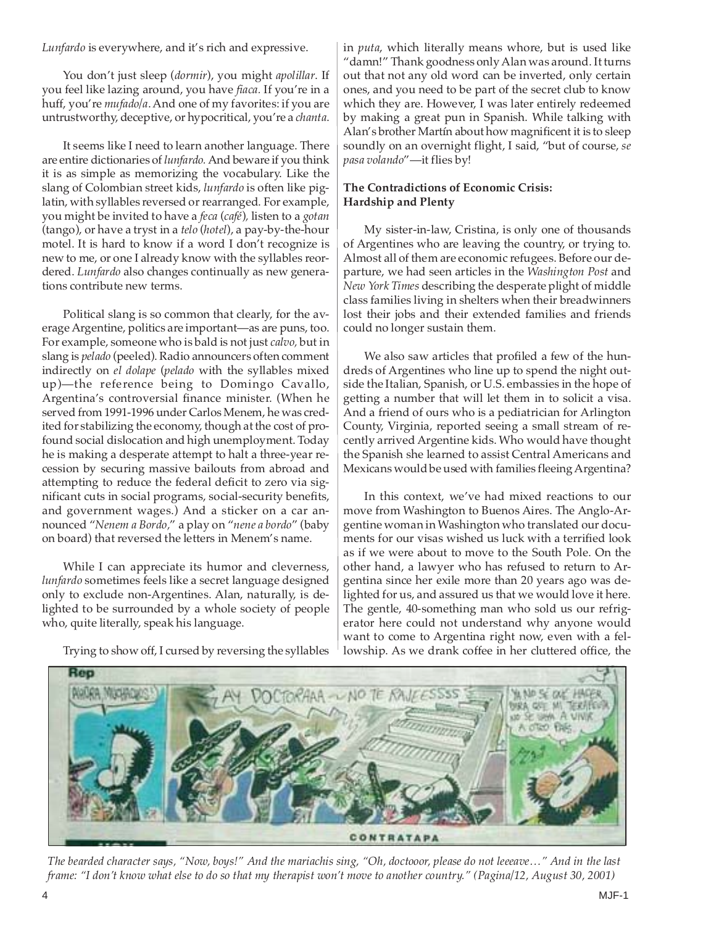*Lunfardo* is everywhere, and it's rich and expressive.

You don't just sleep (*dormir*), you might *apolillar*. If you feel like lazing around, you have *fiaca.* If you're in a huff, you're *mufado/a*. And one of my favorites: if you are untrustworthy, deceptive, or hypocritical, you're a *chanta*.

It seems like I need to learn another language. There are entire dictionaries of *lunfardo.*And beware if you think it is as simple as memorizing the vocabulary. Like the slang of Colombian street kids, *lunfardo* is often like piglatin, with syllables reversed or rearranged. For example, you might be invited to have a *feca* (*café*)*,* listen to a *gotan* (tango), or have a tryst in a *telo* (*hotel*), a pay-by-the-hour motel. It is hard to know if a word I don't recognize is new to me, or one I already know with the syllables reordered. *Lunfardo* also changes continually as new generations contribute new terms.

Political slang is so common that clearly, for the average Argentine, politics are important—as are puns, too. For example, someone who is bald is not just *calvo,* but in slang is *pelado* (peeled). Radio announcers often comment indirectly on *el dolape* (*pelado* with the syllables mixed up)—the reference being to Domingo Cavallo, Argentina's controversial finance minister. (When he served from 1991-1996 under Carlos Menem, he was credited for stabilizing the economy, though at the cost of profound social dislocation and high unemployment. Today he is making a desperate attempt to halt a three-year recession by securing massive bailouts from abroad and attempting to reduce the federal deficit to zero via significant cuts in social programs, social-security benefits, and government wages.) And a sticker on a car announced "*Nenem a Bordo,*" a play on "*nene a bordo*" (baby on board) that reversed the letters in Menem's name.

While I can appreciate its humor and cleverness, *lunfardo* sometimes feels like a secret language designed only to exclude non-Argentines. Alan, naturally, is delighted to be surrounded by a whole society of people who, quite literally, speak his language.

Trying to show off, I cursed by reversing the syllables

in *puta*, which literally means whore, but is used like "damn!" Thank goodness only Alan was around. It turns out that not any old word can be inverted, only certain ones, and you need to be part of the secret club to know which they are. However, I was later entirely redeemed by making a great pun in Spanish. While talking with Alan's brother Martín about how magnificent it is to sleep soundly on an overnight flight, I said, "but of course, *se pasa volando*"—it flies by!

# **The Contradictions of Economic Crisis: Hardship and Plenty**

My sister-in-law, Cristina, is only one of thousands of Argentines who are leaving the country, or trying to. Almost all of them are economic refugees. Before our departure, we had seen articles in the *Washington Post* and *New York Times* describing the desperate plight of middle class families living in shelters when their breadwinners lost their jobs and their extended families and friends could no longer sustain them.

We also saw articles that profiled a few of the hundreds of Argentines who line up to spend the night outside the Italian, Spanish, or U.S. embassies in the hope of getting a number that will let them in to solicit a visa. And a friend of ours who is a pediatrician for Arlington County, Virginia, reported seeing a small stream of recently arrived Argentine kids. Who would have thought the Spanish she learned to assist Central Americans and Mexicans would be used with families fleeing Argentina?

In this context, we've had mixed reactions to our move from Washington to Buenos Aires. The Anglo-Argentine woman in Washington who translated our documents for our visas wished us luck with a terrified look as if we were about to move to the South Pole. On the other hand, a lawyer who has refused to return to Argentina since her exile more than 20 years ago was delighted for us, and assured us that we would love it here. The gentle, 40-something man who sold us our refrigerator here could not understand why anyone would want to come to Argentina right now, even with a fellowship. As we drank coffee in her cluttered office, the



*The bearded character says, "Now, boys!" And the mariachis sing, "Oh, doctooor, please do not leeeave…" And in the last frame: "I don't know what else to do so that my therapist won't move to another country." (Pagina/12, August 30, 2001)*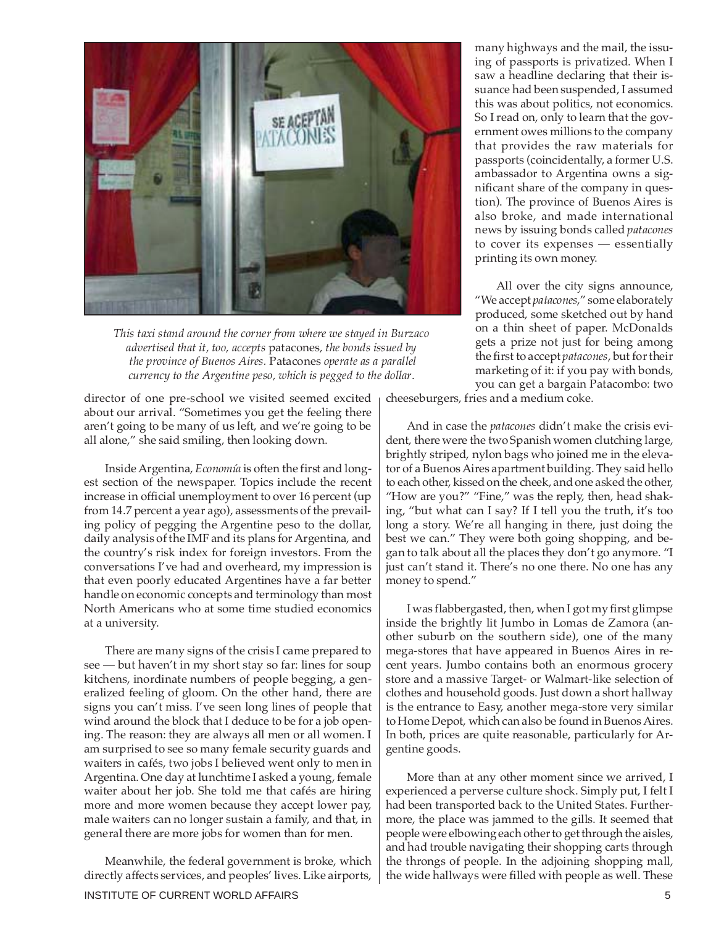

*This taxi stand around the corner from where we stayed in Burzaco advertised that it, too, accepts* patacones*, the bonds issued by the province of Buenos Aires.* Patacones *operate as a parallel currency to the Argentine peso, which is pegged to the dollar*.

director of one pre-school we visited seemed excited about our arrival. "Sometimes you get the feeling there aren't going to be many of us left, and we're going to be all alone," she said smiling, then looking down.

Inside Argentina, *Economía* is often the first and longest section of the newspaper. Topics include the recent increase in official unemployment to over 16 percent (up from 14.7 percent a year ago), assessments of the prevailing policy of pegging the Argentine peso to the dollar, daily analysis of the IMF and its plans for Argentina, and the country's risk index for foreign investors. From the conversations I've had and overheard, my impression is that even poorly educated Argentines have a far better handle on economic concepts and terminology than most North Americans who at some time studied economics at a university.

There are many signs of the crisis I came prepared to see — but haven't in my short stay so far: lines for soup kitchens, inordinate numbers of people begging, a generalized feeling of gloom. On the other hand, there are signs you can't miss. I've seen long lines of people that wind around the block that I deduce to be for a job opening. The reason: they are always all men or all women. I am surprised to see so many female security guards and waiters in cafés, two jobs I believed went only to men in Argentina. One day at lunchtime I asked a young, female waiter about her job. She told me that cafés are hiring more and more women because they accept lower pay, male waiters can no longer sustain a family, and that, in general there are more jobs for women than for men.

INSTITUTE OF CURRENT WORLD AFFAIRS **5** Meanwhile, the federal government is broke, which directly affects services, and peoples' lives. Like airports,

many highways and the mail, the issuing of passports is privatized. When I saw a headline declaring that their issuance had been suspended, I assumed this was about politics, not economics. So I read on, only to learn that the government owes millions to the company that provides the raw materials for passports (coincidentally, a former U.S. ambassador to Argentina owns a significant share of the company in question). The province of Buenos Aires is also broke, and made international news by issuing bonds called *patacones* to cover its expenses — essentially printing its own money.

All over the city signs announce, "We accept *patacones*," some elaborately produced, some sketched out by hand on a thin sheet of paper. McDonalds gets a prize not just for being among the first to accept *patacones*, but for their marketing of it: if you pay with bonds, you can get a bargain Patacombo: two

cheeseburgers, fries and a medium coke.

And in case the *patacones* didn't make the crisis evident, there were the two Spanish women clutching large, brightly striped, nylon bags who joined me in the elevator of a Buenos Aires apartment building. They said hello to each other, kissed on the cheek, and one asked the other, "How are you?" "Fine," was the reply, then, head shaking, "but what can I say? If I tell you the truth, it's too long a story. We're all hanging in there, just doing the best we can." They were both going shopping, and began to talk about all the places they don't go anymore. "I just can't stand it. There's no one there. No one has any money to spend."

I was flabbergasted, then, when I got my first glimpse inside the brightly lit Jumbo in Lomas de Zamora (another suburb on the southern side), one of the many mega-stores that have appeared in Buenos Aires in recent years. Jumbo contains both an enormous grocery store and a massive Target- or Walmart-like selection of clothes and household goods. Just down a short hallway is the entrance to Easy, another mega-store very similar to Home Depot, which can also be found in Buenos Aires. In both, prices are quite reasonable, particularly for Argentine goods.

More than at any other moment since we arrived, I experienced a perverse culture shock. Simply put, I felt I had been transported back to the United States. Furthermore, the place was jammed to the gills. It seemed that people were elbowing each other to get through the aisles, and had trouble navigating their shopping carts through the throngs of people. In the adjoining shopping mall, the wide hallways were filled with people as well. These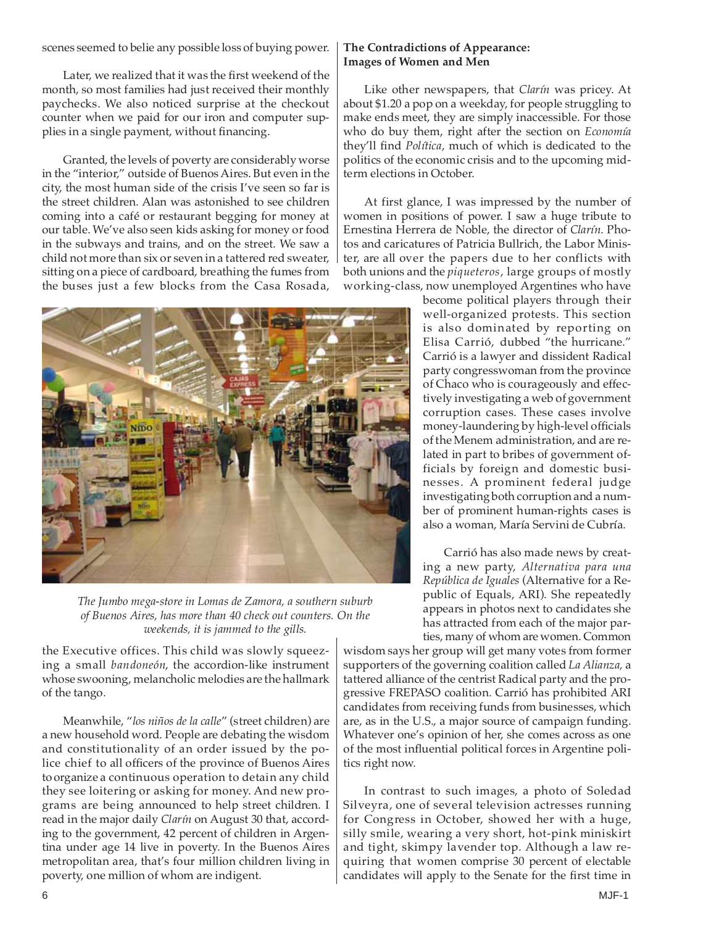scenes seemed to belie any possible loss of buying power.

Later, we realized that it was the first weekend of the month, so most families had just received their monthly paychecks. We also noticed surprise at the checkout counter when we paid for our iron and computer supplies in a single payment, without financing.

Granted, the levels of poverty are considerably worse in the "interior," outside of Buenos Aires. But even in the city, the most human side of the crisis I've seen so far is the street children. Alan was astonished to see children coming into a café or restaurant begging for money at our table. We've also seen kids asking for money or food in the subways and trains, and on the street. We saw a child not more than six or seven in a tattered red sweater, sitting on a piece of cardboard, breathing the fumes from the buses just a few blocks from the Casa Rosada,



*The Jumbo mega-store in Lomas de Zamora, a southern suburb of Buenos Aires, has more than 40 check out counters. On the weekends, it is jammed to the gills.*

the Executive offices. This child was slowly squeezing a small *bandoneón*, the accordion-like instrument whose swooning, melancholic melodies are the hallmark of the tango.

Meanwhile, "*los niños de la calle*" (street children) are a new household word. People are debating the wisdom and constitutionality of an order issued by the police chief to all officers of the province of Buenos Aires to organize a continuous operation to detain any child they see loitering or asking for money. And new programs are being announced to help street children. I read in the major daily *Clarín* on August 30 that, according to the government, 42 percent of children in Argentina under age 14 live in poverty. In the Buenos Aires metropolitan area, that's four million children living in poverty, one million of whom are indigent.

# **The Contradictions of Appearance: Images of Women and Men**

Like other newspapers, that *Clarín* was pricey. At about \$1.20 a pop on a weekday, for people struggling to make ends meet, they are simply inaccessible. For those who do buy them, right after the section on *Economía* they'll find *Política*, much of which is dedicated to the politics of the economic crisis and to the upcoming midterm elections in October.

At first glance, I was impressed by the number of women in positions of power. I saw a huge tribute to Ernestina Herrera de Noble, the director of *Clarín*. Photos and caricatures of Patricia Bullrich, the Labor Minister, are all over the papers due to her conflicts with both unions and the *piqueteros*, large groups of mostly working-class, now unemployed Argentines who have

> become political players through their well-organized protests. This section is also dominated by reporting on Elisa Carrió, dubbed "the hurricane." Carrió is a lawyer and dissident Radical party congresswoman from the province of Chaco who is courageously and effectively investigating a web of government corruption cases. These cases involve money-laundering by high-level officials of the Menem administration, and are related in part to bribes of government officials by foreign and domestic businesses. A prominent federal judge investigating both corruption and a number of prominent human-rights cases is also a woman, María Servini de Cubría.

> Carrió has also made news by creating a new party, *Alternativa para una República de Iguales* (Alternative for a Republic of Equals, ARI). She repeatedly appears in photos next to candidates she has attracted from each of the major parties, many of whom are women. Common

wisdom says her group will get many votes from former supporters of the governing coalition called *La Alianza,* a tattered alliance of the centrist Radical party and the progressive FREPASO coalition. Carrió has prohibited ARI candidates from receiving funds from businesses, which are, as in the U.S., a major source of campaign funding. Whatever one's opinion of her, she comes across as one of the most influential political forces in Argentine politics right now.

In contrast to such images, a photo of Soledad Silveyra, one of several television actresses running for Congress in October, showed her with a huge, silly smile, wearing a very short, hot-pink miniskirt and tight, skimpy lavender top. Although a law requiring that women comprise 30 percent of electable candidates will apply to the Senate for the first time in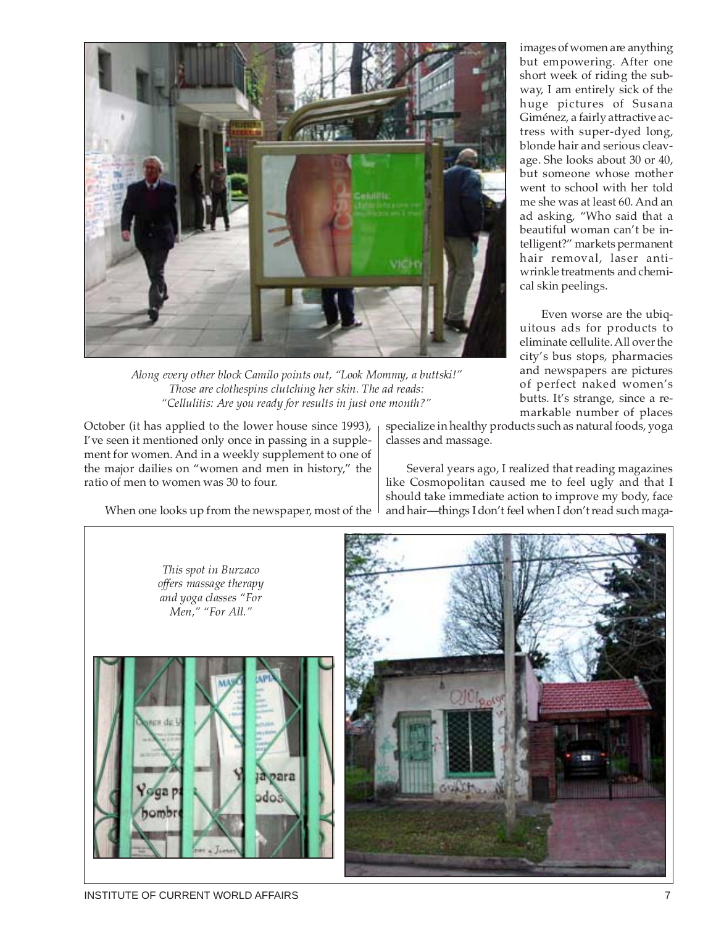

*Along every other block Camilo points out, "Look Mommy, a buttski!" Those are clothespins clutching her skin. The ad reads: "Cellulitis: Are you ready for results in just one month?"*

October (it has applied to the lower house since 1993), I've seen it mentioned only once in passing in a supplement for women. And in a weekly supplement to one of the major dailies on "women and men in history," the ratio of men to women was 30 to four.

When one looks up from the newspaper, most of the  $\perp$ 

images of women are anything but empowering. After one short week of riding the subway, I am entirely sick of the huge pictures of Susana Giménez, a fairly attractive actress with super-dyed long, blonde hair and serious cleavage. She looks about 30 or 40, but someone whose mother went to school with her told me she was at least 60. And an ad asking, "Who said that a beautiful woman can't be intelligent?" markets permanent hair removal, laser antiwrinkle treatments and chemical skin peelings.

Even worse are the ubiquitous ads for products to eliminate cellulite. All over the city's bus stops, pharmacies and newspapers are pictures of perfect naked women's butts. It's strange, since a remarkable number of places

specialize in healthy products such as natural foods, yoga classes and massage.

Several years ago, I realized that reading magazines like Cosmopolitan caused me to feel ugly and that I should take immediate action to improve my body, face and hair—things I don't feel when I don't read such maga-

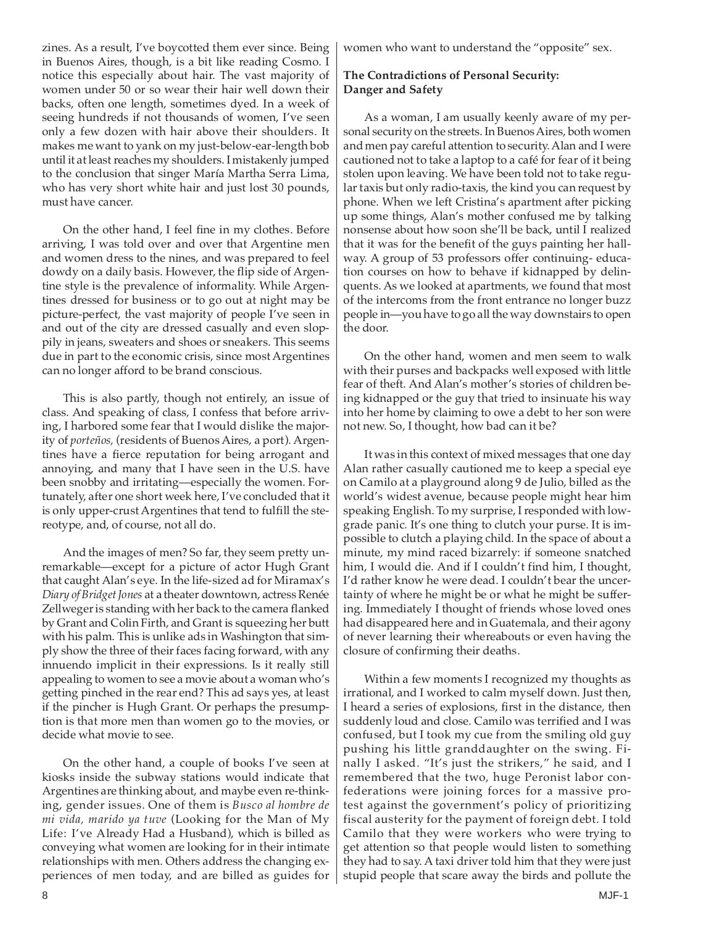zines. As a result, I've boycotted them ever since. Being in Buenos Aires, though, is a bit like reading Cosmo. I notice this especially about hair. The vast majority of women under 50 or so wear their hair well down their backs, often one length, sometimes dyed. In a week of seeing hundreds if not thousands of women, I've seen only a few dozen with hair above their shoulders. It makes me want to yank on my just-below-ear-length bob until it at least reaches my shoulders. I mistakenly jumped to the conclusion that singer María Martha Serra Lima, who has very short white hair and just lost 30 pounds, must have cancer.

On the other hand, I feel fine in my clothes. Before arriving, I was told over and over that Argentine men and women dress to the nines, and was prepared to feel dowdy on a daily basis. However, the flip side of Argentine style is the prevalence of informality. While Argentines dressed for business or to go out at night may be picture-perfect, the vast majority of people I've seen in and out of the city are dressed casually and even sloppily in jeans, sweaters and shoes or sneakers. This seems due in part to the economic crisis, since most Argentines can no longer afford to be brand conscious.

This is also partly, though not entirely, an issue of class. And speaking of class, I confess that before arriving, I harbored some fear that I would dislike the majority of *porteños,* (residents of Buenos Aires, a port). Argentines have a fierce reputation for being arrogant and annoying, and many that I have seen in the U.S. have been snobby and irritating—especially the women. Fortunately, after one short week here, I've concluded that it is only upper-crust Argentines that tend to fulfill the stereotype, and, of course, not all do.

And the images of men? So far, they seem pretty unremarkable—except for a picture of actor Hugh Grant that caught Alan's eye. In the life-sized ad for Miramax's *Diary of Bridget Jones* at a theater downtown, actress Renée Zellweger is standing with her back to the camera flanked by Grant and Colin Firth, and Grant is squeezing her butt with his palm. This is unlike ads in Washington that simply show the three of their faces facing forward, with any innuendo implicit in their expressions. Is it really still appealing to women to see a movie about a woman who's getting pinched in the rear end? This ad says yes, at least if the pincher is Hugh Grant. Or perhaps the presumption is that more men than women go to the movies, or decide what movie to see.

On the other hand, a couple of books I've seen at kiosks inside the subway stations would indicate that Argentines are thinking about, and maybe even re-thinking, gender issues. One of them is *Busco al hombre de mi vida, marido ya tuve* (Looking for the Man of My Life: I've Already Had a Husband), which is billed as conveying what women are looking for in their intimate relationships with men. Others address the changing experiences of men today, and are billed as guides for women who want to understand the "opposite" sex.

# **The Contradictions of Personal Security: Danger and Safety**

As a woman, I am usually keenly aware of my personal security on the streets. In Buenos Aires, both women and men pay careful attention to security. Alan and I were cautioned not to take a laptop to a café for fear of it being stolen upon leaving. We have been told not to take regular taxis but only radio-taxis, the kind you can request by phone. When we left Cristina's apartment after picking up some things, Alan's mother confused me by talking nonsense about how soon she'll be back, until I realized that it was for the benefit of the guys painting her hallway. A group of 53 professors offer continuing- education courses on how to behave if kidnapped by delinquents. As we looked at apartments, we found that most of the intercoms from the front entrance no longer buzz people in—you have to go all the way downstairs to open the door.

On the other hand, women and men seem to walk with their purses and backpacks well exposed with little fear of theft. And Alan's mother's stories of children being kidnapped or the guy that tried to insinuate his way into her home by claiming to owe a debt to her son were not new. So, I thought, how bad can it be?

It was in this context of mixed messages that one day Alan rather casually cautioned me to keep a special eye on Camilo at a playground along 9 de Julio, billed as the world's widest avenue, because people might hear him speaking English. To my surprise, I responded with lowgrade panic. It's one thing to clutch your purse. It is impossible to clutch a playing child. In the space of about a minute, my mind raced bizarrely: if someone snatched him, I would die. And if I couldn't find him, I thought, I'd rather know he were dead. I couldn't bear the uncertainty of where he might be or what he might be suffering. Immediately I thought of friends whose loved ones had disappeared here and in Guatemala, and their agony of never learning their whereabouts or even having the closure of confirming their deaths.

Within a few moments I recognized my thoughts as irrational, and I worked to calm myself down. Just then, I heard a series of explosions, first in the distance, then suddenly loud and close. Camilo was terrified and I was confused, but I took my cue from the smiling old guy pushing his little granddaughter on the swing. Finally I asked. "It's just the strikers," he said, and I remembered that the two, huge Peronist labor confederations were joining forces for a massive protest against the government's policy of prioritizing fiscal austerity for the payment of foreign debt. I told Camilo that they were workers who were trying to get attention so that people would listen to something they had to say. A taxi driver told him that they were just stupid people that scare away the birds and pollute the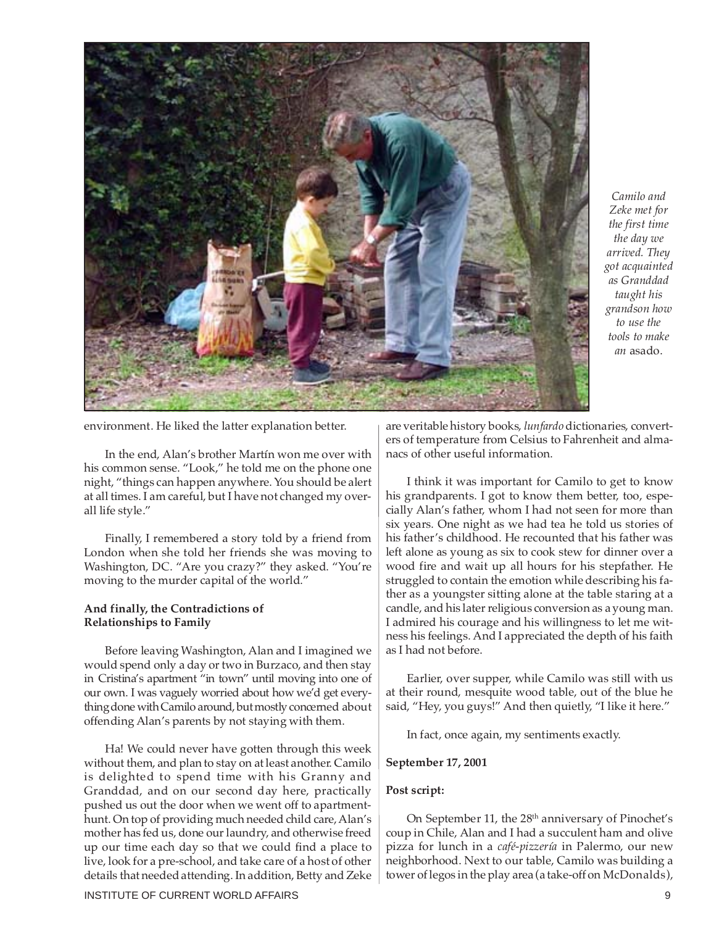

*Camilo and Zeke met for the first time the day we arrived. They got acquainted as Granddad taught his grandson how to use the tools to make an* asado.

environment. He liked the latter explanation better.

In the end, Alan's brother Martín won me over with his common sense. "Look," he told me on the phone one night, "things can happen anywhere. You should be alert at all times. I am careful, but I have not changed my overall life style."

Finally, I remembered a story told by a friend from London when she told her friends she was moving to Washington, DC. "Are you crazy?" they asked. "You're moving to the murder capital of the world."

## **And finally, the Contradictions of Relationships to Family**

Before leaving Washington, Alan and I imagined we would spend only a day or two in Burzaco, and then stay in Cristina's apartment "in town" until moving into one of our own. I was vaguely worried about how we'd get everything done with Camilo around, but mostly concerned about offending Alan's parents by not staying with them.

Ha! We could never have gotten through this week without them, and plan to stay on at least another. Camilo is delighted to spend time with his Granny and Granddad, and on our second day here, practically pushed us out the door when we went off to apartmenthunt. On top of providing much needed child care, Alan's mother has fed us, done our laundry, and otherwise freed up our time each day so that we could find a place to live, look for a pre-school, and take care of a host of other details that needed attending. In addition, Betty and Zeke

INSTITUTE OF CURRENT WORLD AFFAIRS 9

are veritable history books, *lunfardo* dictionaries, converters of temperature from Celsius to Fahrenheit and almanacs of other useful information.

I think it was important for Camilo to get to know his grandparents. I got to know them better, too, especially Alan's father, whom I had not seen for more than six years. One night as we had tea he told us stories of his father's childhood. He recounted that his father was left alone as young as six to cook stew for dinner over a wood fire and wait up all hours for his stepfather. He struggled to contain the emotion while describing his father as a youngster sitting alone at the table staring at a candle, and his later religious conversion as a young man. I admired his courage and his willingness to let me witness his feelings. And I appreciated the depth of his faith as I had not before.

Earlier, over supper, while Camilo was still with us at their round, mesquite wood table, out of the blue he said, "Hey, you guys!" And then quietly, "I like it here."

In fact, once again, my sentiments exactly.

## **September 17, 2001**

#### **Post script:**

On September 11, the 28<sup>th</sup> anniversary of Pinochet's coup in Chile, Alan and I had a succulent ham and olive pizza for lunch in a *café-pizzería* in Palermo, our new neighborhood. Next to our table, Camilo was building a tower of legos in the play area (a take-off on McDonalds),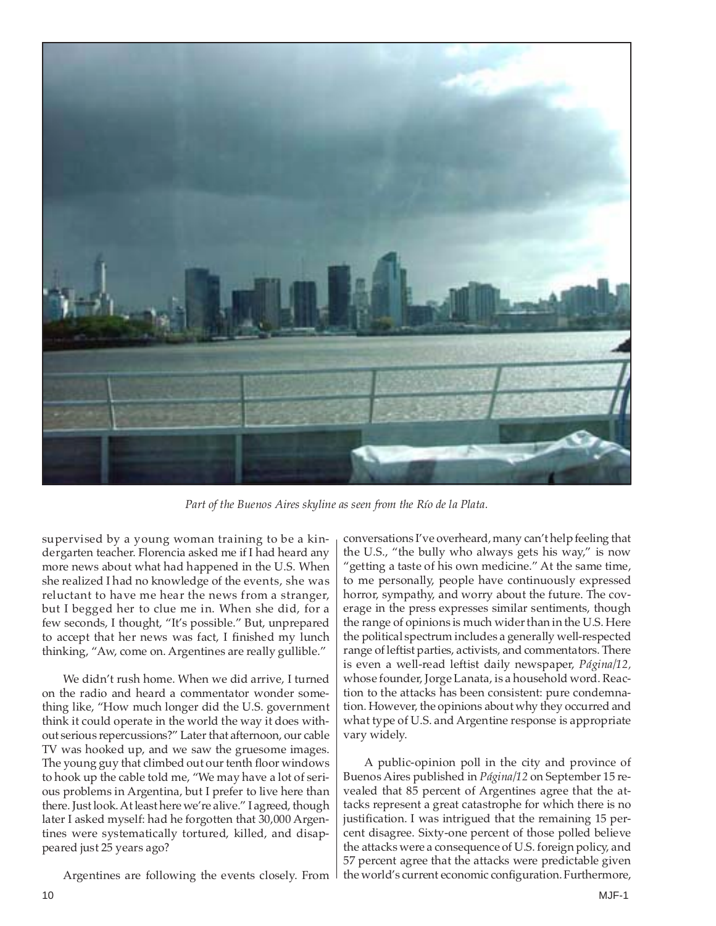

*Part of the Buenos Aires skyline as seen from the Río de la Plata.*

supervised by a young woman training to be a kindergarten teacher. Florencia asked me if I had heard any more news about what had happened in the U.S. When she realized I had no knowledge of the events, she was reluctant to have me hear the news from a stranger, but I begged her to clue me in. When she did, for a few seconds, I thought, "It's possible." But, unprepared to accept that her news was fact, I finished my lunch thinking, "Aw, come on. Argentines are really gullible."

We didn't rush home. When we did arrive, I turned on the radio and heard a commentator wonder something like, "How much longer did the U.S. government think it could operate in the world the way it does without serious repercussions?" Later that afternoon, our cable TV was hooked up, and we saw the gruesome images. The young guy that climbed out our tenth floor windows to hook up the cable told me, "We may have a lot of serious problems in Argentina, but I prefer to live here than there. Just look. At least here we're alive." I agreed, though later I asked myself: had he forgotten that 30,000 Argentines were systematically tortured, killed, and disappeared just 25 years ago?

conversations I've overheard, many can't help feeling that the U.S., "the bully who always gets his way," is now "getting a taste of his own medicine." At the same time, to me personally, people have continuously expressed horror, sympathy, and worry about the future. The coverage in the press expresses similar sentiments, though the range of opinions is much wider than in the U.S. Here the political spectrum includes a generally well-respected range of leftist parties, activists, and commentators. There is even a well-read leftist daily newspaper, *Página/12,* whose founder, Jorge Lanata, is a household word. Reaction to the attacks has been consistent: pure condemnation. However, the opinions about why they occurred and what type of U.S. and Argentine response is appropriate vary widely.

A public-opinion poll in the city and province of Buenos Aires published in *Página/12* on September 15 revealed that 85 percent of Argentines agree that the attacks represent a great catastrophe for which there is no justification. I was intrigued that the remaining 15 percent disagree. Sixty-one percent of those polled believe the attacks were a consequence of U.S. foreign policy, and 57 percent agree that the attacks were predictable given the world's current economic configuration. Furthermore,

Argentines are following the events closely. From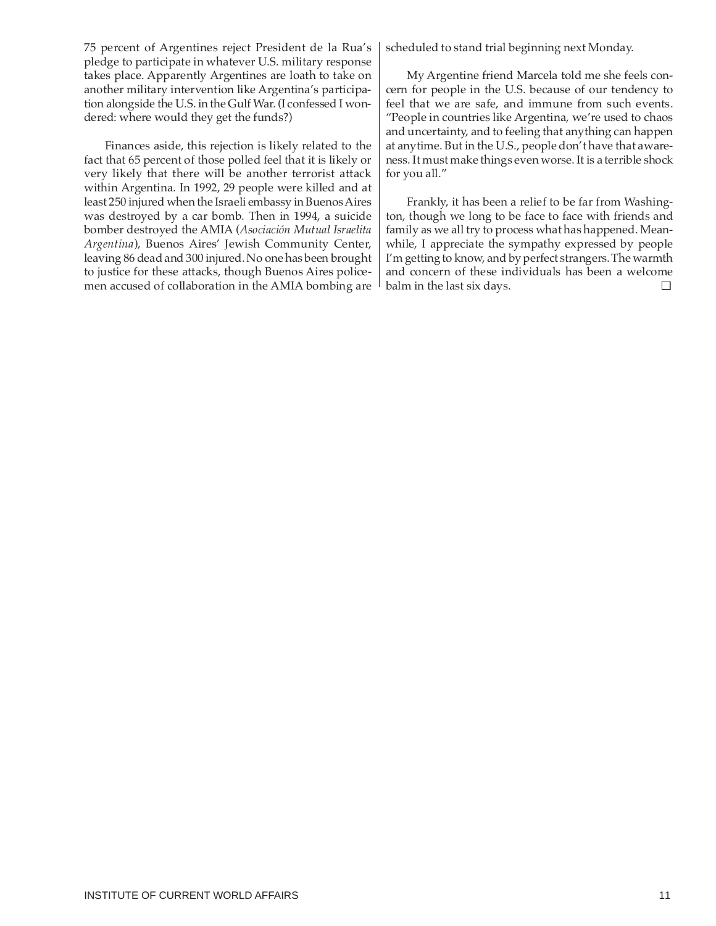75 percent of Argentines reject President de la Rua's pledge to participate in whatever U.S. military response takes place. Apparently Argentines are loath to take on another military intervention like Argentina's participation alongside the U.S. in the Gulf War. (I confessed I wondered: where would they get the funds?)

Finances aside, this rejection is likely related to the fact that 65 percent of those polled feel that it is likely or very likely that there will be another terrorist attack within Argentina. In 1992, 29 people were killed and at least 250 injured when the Israeli embassy in Buenos Aires was destroyed by a car bomb. Then in 1994, a suicide bomber destroyed the AMIA (*Asociación Mutual Israelita Argentina*), Buenos Aires' Jewish Community Center, leaving 86 dead and 300 injured. No one has been brought to justice for these attacks, though Buenos Aires policemen accused of collaboration in the AMIA bombing are scheduled to stand trial beginning next Monday.

My Argentine friend Marcela told me she feels concern for people in the U.S. because of our tendency to feel that we are safe, and immune from such events. "People in countries like Argentina, we're used to chaos and uncertainty, and to feeling that anything can happen at anytime. But in the U.S., people don't have that awareness. It must make things even worse. It is a terrible shock for you all."

Frankly, it has been a relief to be far from Washington, though we long to be face to face with friends and family as we all try to process what has happened. Meanwhile, I appreciate the sympathy expressed by people I'm getting to know, and by perfect strangers. The warmth and concern of these individuals has been a welcome balm in the last six days. ❏